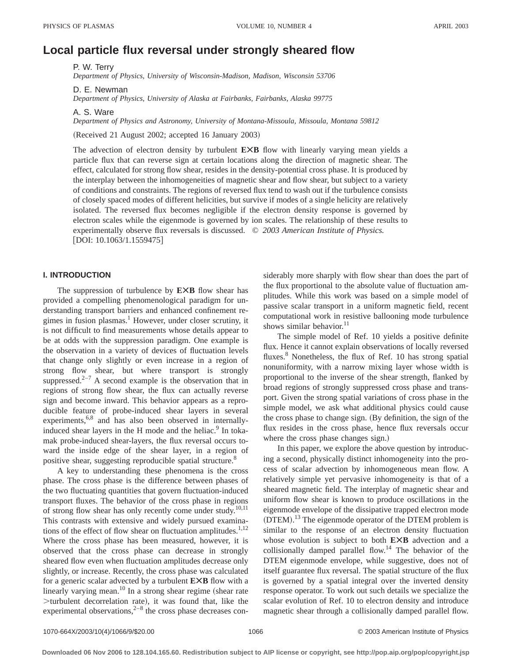# **Local particle flux reversal under strongly sheared flow**

P. W. Terry *Department of Physics, University of Wisconsin-Madison, Madison, Wisconsin 53706*

D. E. Newman

*Department of Physics, University of Alaska at Fairbanks, Fairbanks, Alaska 99775*

A. S. Ware

*Department of Physics and Astronomy, University of Montana-Missoula, Missoula, Montana 59812*

 $(Received 21 August 2002; accepted 16 January 2003)$ 

The advection of electron density by turbulent **EÃB** flow with linearly varying mean yields a particle flux that can reverse sign at certain locations along the direction of magnetic shear. The effect, calculated for strong flow shear, resides in the density-potential cross phase. It is produced by the interplay between the inhomogeneities of magnetic shear and flow shear, but subject to a variety of conditions and constraints. The regions of reversed flux tend to wash out if the turbulence consists of closely spaced modes of different helicities, but survive if modes of a single helicity are relatively isolated. The reversed flux becomes negligible if the electron density response is governed by electron scales while the eigenmode is governed by ion scales. The relationship of these results to experimentally observe flux reversals is discussed. © *2003 American Institute of Physics.* [DOI: 10.1063/1.1559475]

## **I. INTRODUCTION**

The suppression of turbulence by **EÃB** flow shear has provided a compelling phenomenological paradigm for understanding transport barriers and enhanced confinement regimes in fusion plasmas.<sup>1</sup> However, under closer scrutiny, it is not difficult to find measurements whose details appear to be at odds with the suppression paradigm. One example is the observation in a variety of devices of fluctuation levels that change only slightly or even increase in a region of strong flow shear, but where transport is strongly suppressed.<sup>2–7</sup> A second example is the observation that in regions of strong flow shear, the flux can actually reverse sign and become inward. This behavior appears as a reproducible feature of probe-induced shear layers in several experiments,<sup>6,8</sup> and has also been observed in internallyinduced shear layers in the H mode and the heliac. $9$  In tokamak probe-induced shear-layers, the flux reversal occurs toward the inside edge of the shear layer, in a region of positive shear, suggesting reproducible spatial structure.<sup>8</sup>

A key to understanding these phenomena is the cross phase. The cross phase is the difference between phases of the two fluctuating quantities that govern fluctuation-induced transport fluxes. The behavior of the cross phase in regions of strong flow shear has only recently come under study.<sup>10,11</sup> This contrasts with extensive and widely pursued examinations of the effect of flow shear on fluctuation amplitudes. $1,12$ Where the cross phase has been measured, however, it is observed that the cross phase can decrease in strongly sheared flow even when fluctuation amplitudes decrease only slightly, or increase. Recently, the cross phase was calculated for a generic scalar advected by a turbulent **EÃB** flow with a linearly varying mean.<sup>10</sup> In a strong shear regime (shear rate >turbulent decorrelation rate), it was found that, like the experimental observations, $2^{-8}$  the cross phase decreases considerably more sharply with flow shear than does the part of the flux proportional to the absolute value of fluctuation amplitudes. While this work was based on a simple model of passive scalar transport in a uniform magnetic field, recent computational work in resistive ballooning mode turbulence shows similar behavior. $^{11}$ 

The simple model of Ref. 10 yields a positive definite flux. Hence it cannot explain observations of locally reversed fluxes.<sup>8</sup> Nonetheless, the flux of Ref. 10 has strong spatial nonuniformity, with a narrow mixing layer whose width is proportional to the inverse of the shear strength, flanked by broad regions of strongly suppressed cross phase and transport. Given the strong spatial variations of cross phase in the simple model, we ask what additional physics could cause the cross phase to change sign. (By definition, the sign of the flux resides in the cross phase, hence flux reversals occur where the cross phase changes sign.)

In this paper, we explore the above question by introducing a second, physically distinct inhomogeneity into the process of scalar advection by inhomogeneous mean flow. A relatively simple yet pervasive inhomogeneity is that of a sheared magnetic field. The interplay of magnetic shear and uniform flow shear is known to produce oscillations in the eigenmode envelope of the dissipative trapped electron mode (DTEM).<sup>13</sup> The eigenmode operator of the DTEM problem is similar to the response of an electron density fluctuation whose evolution is subject to both **EÃB** advection and a collisionally damped parallel flow.<sup>14</sup> The behavior of the DTEM eigenmode envelope, while suggestive, does not of itself guarantee flux reversal. The spatial structure of the flux is governed by a spatial integral over the inverted density response operator. To work out such details we specialize the scalar evolution of Ref. 10 to electron density and introduce magnetic shear through a collisionally damped parallel flow.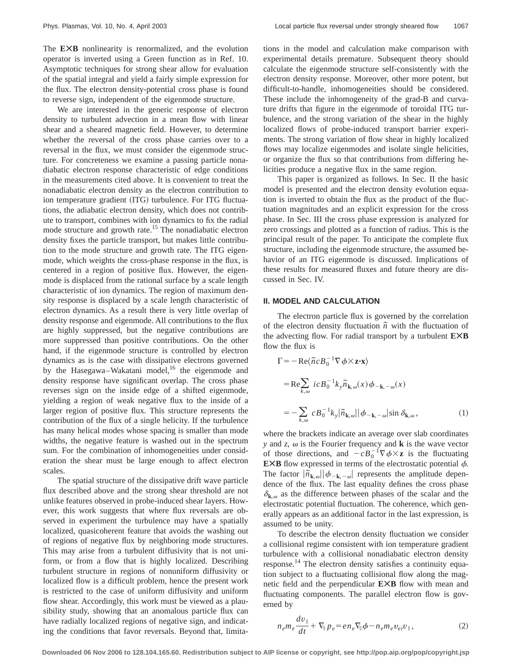The **EÃB** nonlinearity is renormalized, and the evolution operator is inverted using a Green function as in Ref. 10. Asymptotic techniques for strong shear allow for evaluation of the spatial integral and yield a fairly simple expression for the flux. The electron density-potential cross phase is found to reverse sign, independent of the eigenmode structure.

We are interested in the generic response of electron density to turbulent advection in a mean flow with linear shear and a sheared magnetic field. However, to determine whether the reversal of the cross phase carries over to a reversal in the flux, we must consider the eigenmode structure. For concreteness we examine a passing particle nonadiabatic electron response characteristic of edge conditions in the measurements cited above. It is convenient to treat the nonadiabatic electron density as the electron contribution to ion temperature gradient (ITG) turbulence. For ITG fluctuations, the adiabatic electron density, which does not contribute to transport, combines with ion dynamics to fix the radial mode structure and growth rate.<sup>15</sup> The nonadiabatic electron density fixes the particle transport, but makes little contribution to the mode structure and growth rate. The ITG eigenmode, which weights the cross-phase response in the flux, is centered in a region of positive flux. However, the eigenmode is displaced from the rational surface by a scale length characteristic of ion dynamics. The region of maximum density response is displaced by a scale length characteristic of electron dynamics. As a result there is very little overlap of density response and eigenmode. All contributions to the flux are highly suppressed, but the negative contributions are more suppressed than positive contributions. On the other hand, if the eigenmode structure is controlled by electron dynamics as is the case with dissipative electrons governed by the Hasegawa–Wakatani model,<sup>16</sup> the eigenmode and density response have significant overlap. The cross phase reverses sign on the inside edge of a shifted eigenmode, yielding a region of weak negative flux to the inside of a larger region of positive flux. This structure represents the contribution of the flux of a single helicity. If the turbulence has many helical modes whose spacing is smaller than mode widths, the negative feature is washed out in the spectrum sum. For the combination of inhomogeneities under consideration the shear must be large enough to affect electron scales.

The spatial structure of the dissipative drift wave particle flux described above and the strong shear threshold are not unlike features observed in probe-induced shear layers. However, this work suggests that where flux reversals are observed in experiment the turbulence may have a spatially localized, quasicoherent feature that avoids the washing out of regions of negative flux by neighboring mode structures. This may arise from a turbulent diffusivity that is not uniform, or from a flow that is highly localized. Describing turbulent structure in regions of nonuniform diffusivity or localized flow is a difficult problem, hence the present work is restricted to the case of uniform diffusivity and uniform flow shear. Accordingly, this work must be viewed as a plausibility study, showing that an anomalous particle flux can have radially localized regions of negative sign, and indicating the conditions that favor reversals. Beyond that, limitations in the model and calculation make comparison with experimental details premature. Subsequent theory should calculate the eigenmode structure self-consistently with the electron density response. Moreover, other more potent, but difficult-to-handle, inhomogeneities should be considered. These include the inhomogeneity of the grad-B and curvature drifts that figure in the eigenmode of toroidal ITG turbulence, and the strong variation of the shear in the highly localized flows of probe-induced transport barrier experiments. The strong variation of flow shear in highly localized flows may localize eigenmodes and isolate single helicities, or organize the flux so that contributions from differing helicities produce a negative flux in the same region.

This paper is organized as follows. In Sec. II the basic model is presented and the electron density evolution equation is inverted to obtain the flux as the product of the fluctuation magnitudes and an explicit expression for the cross phase. In Sec. III the cross phase expression is analyzed for zero crossings and plotted as a function of radius. This is the principal result of the paper. To anticipate the complete flux structure, including the eigenmode structure, the assumed behavior of an ITG eigenmode is discussed. Implications of these results for measured fluxes and future theory are discussed in Sec. IV.

### **II. MODEL AND CALCULATION**

The electron particle flux is governed by the correlation of the electron density fluctuation  $\tilde{n}$  with the fluctuation of the advecting flow. For radial transport by a turbulent **EÃB** flow the flux is

$$
\Gamma = -\operatorname{Re}\langle \tilde{n}cB_0^{-1}\nabla \phi \times \mathbf{z} \cdot \mathbf{x} \rangle
$$
  
\n
$$
= \operatorname{Re} \sum_{k,\omega} icB_0^{-1}k_y \tilde{n}_{\mathbf{k},\omega}(x) \phi_{-\mathbf{k},-\omega}(x)
$$
  
\n
$$
= -\sum_{k,\omega} cB_0^{-1}k_y |\tilde{n}_{\mathbf{k},\omega}||\phi_{-\mathbf{k},-\omega}|\sin \delta_{\mathbf{k},\omega},
$$
 (1)

where the brackets indicate an average over slab coordinates *y* and *z*,  $\omega$  is the Fourier frequency and **k** is the wave vector of those directions, and  $-cB_0^{-1}\nabla \phi \times z$  is the fluctuating **EXB** flow expressed in terms of the electrostatic potential  $\phi$ . The factor  $|\tilde{n}_{\mathbf{k},\omega}||\phi_{-\mathbf{k},-\omega}|$  represents the amplitude dependence of the flux. The last equality defines the cross phase  $\delta_{\bf k,\omega}$  as the difference between phases of the scalar and the electrostatic potential fluctuation. The coherence, which generally appears as an additional factor in the last expression, is assumed to be unity.

To describe the electron density fluctuation we consider a collisional regime consistent with ion temperature gradient turbulence with a collisional nonadiabatic electron density response.<sup>14</sup> The electron density satisfies a continuity equation subject to a fluctuating collisional flow along the magnetic field and the perpendicular **EÃB** flow with mean and fluctuating components. The parallel electron flow is governed by

$$
n_e m_e \frac{dv_{\parallel}}{dt} + \nabla_{\parallel} p_e = en_e \nabla_{\parallel} \phi - n_e m_e v_{ei} v_{\parallel},
$$
\n(2)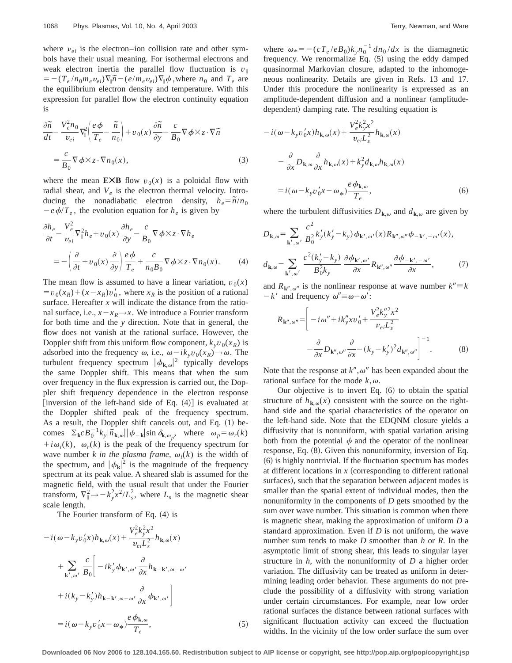where  $v_{ei}$  is the electron–ion collision rate and other symbols have their usual meaning. For isothermal electrons and weak electron inertia the parallel flow fluctuation is  $v_{\parallel}$  $= -(T_e/n_0m_e v_{ei})\nabla_{\parallel} \tilde{n} - (e/m_e v_{ei})\nabla_{\parallel} \phi$ , where  $n_0$  and  $T_e$  are the equilibrium electron density and temperature. With this expression for parallel flow the electron continuity equation is

$$
\frac{\partial \tilde{n}}{\partial t} - \frac{V_e^2 n_0}{v_{ei}} \nabla_{\parallel}^2 \left( \frac{e \phi}{T_e} - \frac{\tilde{n}}{n_0} \right) + v_0(x) \frac{\partial \tilde{n}}{\partial y} - \frac{c}{B_0} \nabla \phi \times z \cdot \nabla \tilde{n} \n= \frac{c}{B_0} \nabla \phi \times z \cdot \nabla n_0(x),
$$
\n(3)

where the mean **EXB** flow  $v_0(x)$  is a poloidal flow with radial shear, and  $V_e$  is the electron thermal velocity. Introducing the nonadiabatic electron density,  $h_e = \tilde{n}/n_0$  $-e\phi/T_e$ , the evolution equation for  $h_e$  is given by

$$
\frac{\partial h_e}{\partial t} - \frac{V_e^2}{v_{ei}} \nabla_{\parallel}^2 h_e + v_0(x) \frac{\partial h_e}{\partial y} - \frac{c}{B_0} \nabla \phi \times z \cdot \nabla h_e
$$
  
= 
$$
- \left( \frac{\partial}{\partial t} + v_0(x) \frac{\partial}{\partial y} \right) \frac{e \phi}{T_e} + \frac{c}{n_0 B_0} \nabla \phi \times z \cdot \nabla n_0(x).
$$
 (4)

The mean flow is assumed to have a linear variation,  $v_0(x)$  $= v_0(x_R) + (x - x_R)v'_0$ , where  $x_R$  is the position of a rational surface. Hereafter *x* will indicate the distance from the rational surface, i.e.,  $x - x_R \rightarrow x$ . We introduce a Fourier transform for both time and the *y* direction. Note that in general, the flow does not vanish at the rational surface. However, the Doppler shift from this uniform flow component,  $k_yv_0(x_R)$  is adsorbed into the frequency  $\omega$ , i.e.,  $\omega - i k_y v_0(x_R) \rightarrow \omega$ . The turbulent frequency spectrum  $|\phi_{\mathbf{k},\omega}|^2$  typically develops the same Doppler shift. This means that when the sum over frequency in the flux expression is carried out, the Doppler shift frequency dependence in the electron response [inversion of the left-hand side of Eq.  $(4)$ ] is evaluated at the Doppler shifted peak of the frequency spectrum. As a result, the Doppler shift cancels out, and Eq.  $(1)$  becomes  $\sum_{\mathbf{k}} c B_0^{-1} k_y |\tilde{n}_{\mathbf{k},\omega}||\phi_{-\mathbf{k}}| \sin \delta_{\mathbf{k},\omega_p}$ , where  $\omega_p = \omega_r(k)$  $+i\omega_i(k)$ ,  $\omega_r(k)$  is the peak of the frequency spectrum for wave number *k* in the plasma frame,  $\omega_i(k)$  is the width of the spectrum, and  $|\phi_{\bf k}|^2$  is the magnitude of the frequency spectrum at its peak value. A sheared slab is assumed for the magnetic field, with the usual result that under the Fourier transform,  $\nabla_{\parallel}^2 \rightarrow -k_y^2 x^2 / L_s^2$ , where  $L_s$  is the magnetic shear scale length.

The Fourier transform of Eq.  $(4)$  is

$$
-i(\omega - k_{y}v'_{0}x)h_{\mathbf{k},\omega}(x) + \frac{V_{e}^{2}k_{y}^{2}x^{2}}{v_{ei}L_{s}^{2}}h_{\mathbf{k},\omega}(x)
$$
  
+ 
$$
\sum_{\mathbf{k}',\omega'}\frac{c}{B_{0}}\left[-ik'_{y}\phi_{\mathbf{k}',\omega'}\frac{\partial}{\partial x}h_{\mathbf{k}-\mathbf{k}',\omega-\omega'}\right]
$$
  
+ 
$$
i(k_{y}-k'_{y})h_{\mathbf{k}-\mathbf{k}',\omega-\omega'}\frac{\partial}{\partial x}\phi_{\mathbf{k}',\omega'}\right]
$$
  
= 
$$
i(\omega - k_{y}v'_{0}x-\omega_{*})\frac{e\phi_{\mathbf{k},\omega}}{T_{e}},
$$
 (5)

where  $\omega_* = -(cT_e/eB_0)k_yn_0^{-1}dn_0/dx$  is the diamagnetic frequency. We renormalize Eq.  $(5)$  using the eddy damped quasinormal Markovian closure, adapted to the inhomogeneous nonlinearity. Details are given in Refs. 13 and 17. Under this procedure the nonlinearity is expressed as an amplitude-dependent diffusion and a nonlinear (amplitudedependent) damping rate. The resulting equation is

$$
-i(\omega - k_y v_0' x) h_{\mathbf{k},\omega}(x) + \frac{V_e^2 k_y^2 x^2}{v_{ei} L_s^2} h_{\mathbf{k},\omega}(x)
$$

$$
- \frac{\partial}{\partial x} D_{\mathbf{k},\omega} \frac{\partial}{\partial x} h_{\mathbf{k},\omega}(x) + k_y^2 d_{\mathbf{k},\omega} h_{\mathbf{k},\omega}(x)
$$

$$
= i(\omega - k_y v_0' x - \omega_*) \frac{e \phi_{\mathbf{k},\omega}}{T_e}, \qquad (6)
$$

where the turbulent diffusivities  $D_{\mathbf{k},\omega}$  and  $d_{\mathbf{k},\omega}$  are given by

$$
D_{\mathbf{k},\omega} = \sum_{\mathbf{k}',\omega'} \frac{c^2}{B_0^2} k'_y(k'_y - k_y) \phi_{\mathbf{k}',\omega'}(x) R_{\mathbf{k}'',\omega''} \phi_{-\mathbf{k}',-\omega'}(x),
$$
  

$$
d_{\mathbf{k},\omega} = \sum_{\mathbf{k}',\omega'} \frac{c^2(k'_y - k_y)}{B_0^2 k_y} \frac{\partial \phi_{\mathbf{k}',\omega'}}{\partial x} R_{\mathbf{k}'',\omega''} \frac{\partial \phi_{-\mathbf{k}',-\omega'}}{\partial x},
$$
 (7)

and  $R_{k'', \omega''}$  is the nonlinear response at wave number  $k'' \equiv k$  $-k'$  and frequency  $\omega'' \equiv \omega - \omega'$ :

$$
R_{\mathbf{k''},\omega''} = \left[ -i\omega'' + ik''_{y}xv'_{0} + \frac{V_{e}^{2}k_{y}''^{2}x^{2}}{v_{ei}L_{s}^{2}} - \frac{\partial}{\partial x}D_{\mathbf{k''},\omega''}\frac{\partial}{\partial x} - (k_{y} - k_{y}')^{2}d_{\mathbf{k''},\omega''} \right]^{-1}.
$$
 (8)

Note that the response at  $k^{\prime\prime}$ ,  $\omega^{\prime\prime}$  has been expanded about the rational surface for the mode  $k, \omega$ .

Our objective is to invert Eq.  $(6)$  to obtain the spatial structure of  $h_{\mathbf{k},\omega}(x)$  consistent with the source on the righthand side and the spatial characteristics of the operator on the left-hand side. Note that the EDQNM closure yields a diffusivity that is nonuniform, with spatial variation arising both from the potential  $\phi$  and the operator of the nonlinear response, Eq.  $(8)$ . Given this nonuniformity, inversion of Eq.  $(6)$  is highly nontrivial. If the fluctuation spectrum has modes at different locations in  $x$  (corresponding to different rational surfaces), such that the separation between adjacent modes is smaller than the spatial extent of individual modes, then the nonuniformity in the components of *D* gets smoothed by the sum over wave number. This situation is common when there is magnetic shear, making the approximation of uniform *D* a standard approximation. Even if *D* is not uniform, the wave number sum tends to make *D* smoother than *h* or *R*. In the asymptotic limit of strong shear, this leads to singular layer structure in *h*, with the nonuniformity of *D* a higher order variation. The diffusivity can be treated as uniform in determining leading order behavior. These arguments do not preclude the possibility of a diffusivity with strong variation under certain circumstances. For example, near low order rational surfaces the distance between rational surfaces with significant fluctuation activity can exceed the fluctuation widths. In the vicinity of the low order surface the sum over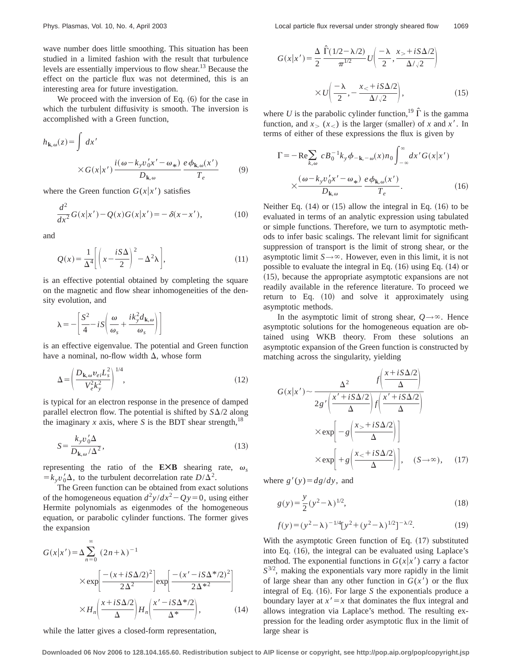wave number does little smoothing. This situation has been studied in a limited fashion with the result that turbulence levels are essentially impervious to flow shear.13 Because the effect on the particle flux was not determined, this is an interesting area for future investigation.

We proceed with the inversion of Eq.  $(6)$  for the case in which the turbulent diffusivity is smooth. The inversion is accomplished with a Green function,

$$
h_{\mathbf{k},\omega}(z) = \int dx'
$$
  
 
$$
\times G(x|x') \frac{i(\omega - k_y v_0' x' - \omega_*)}{D_{\mathbf{k},\omega}} \frac{e \phi_{\mathbf{k},\omega}(x')}{T_e}
$$
 (9)

where the Green function  $G(x|x')$  satisfies

$$
\frac{d^2}{dx^2}G(x|x') - Q(x)G(x|x') = -\delta(x - x'),\tag{10}
$$

and

$$
Q(x) = \frac{1}{\Delta^4} \left[ \left( x - \frac{iS\Delta}{2} \right)^2 - \Delta^2 \lambda \right],\tag{11}
$$

is an effective potential obtained by completing the square on the magnetic and flow shear inhomogeneities of the density evolution, and

$$
\lambda = -\left[\frac{S^2}{4} - iS\left(\frac{\omega}{\omega_s} + \frac{ik_y^2 d_{\mathbf{k},\omega}}{\omega_s}\right)\right]
$$

is an effective eigenvalue. The potential and Green function have a nominal, no-flow width  $\Delta$ , whose form

$$
\Delta = \left(\frac{D_{\mathbf{k},\omega}v_{ei}L_s^2}{V_e^2k_y^2}\right)^{1/4},\tag{12}
$$

is typical for an electron response in the presence of damped parallel electron flow. The potential is shifted by  $S\Delta/2$  along the imaginary *x* axis, where *S* is the BDT shear strength,<sup>18</sup>

$$
S = \frac{k_y v_0' \Delta}{D_{\mathbf{k}, \omega} / \Delta^2},\tag{13}
$$

representing the ratio of the **EXB** shearing rate,  $\omega_s$  $=k_yv_0^{\prime}\Delta$ , to the turbulent decorrelation rate  $D/\Delta^2$ .

The Green function can be obtained from exact solutions of the homogeneous equation  $d^2y/dx^2 - Qy = 0$ , using either Hermite polynomials as eigenmodes of the homogeneous equation, or parabolic cylinder functions. The former gives the expansion

$$
G(x|x') = \Delta \sum_{n=0}^{\infty} (2n+\lambda)^{-1}
$$
  
 
$$
\times \exp \left[ \frac{-(x+iS\Delta/2)^2}{2\Delta^2} \right] \exp \left[ \frac{-(x'-iS\Delta^*/2)^2}{2\Delta^{*2}} \right]
$$
  
 
$$
\times H_n \left( \frac{x+iS\Delta/2}{\Delta} \right) H_n \left( \frac{x'-iS\Delta^*/2}{\Delta^*} \right), \tag{14}
$$

while the latter gives a closed-form representation,

$$
G(x|x') = \frac{\Delta}{2} \frac{\hat{\Gamma}(1/2 - \lambda/2)}{\pi^{1/2}} U\left(\frac{-\lambda}{2}, \frac{x > + iS\Delta/2}{\Delta/\sqrt{2}}\right)
$$

$$
\times U\left(\frac{-\lambda}{2}, -\frac{x < + iS\Delta/2}{\Delta/\sqrt{2}}\right),\tag{15}
$$

where *U* is the parabolic cylinder function,<sup>19</sup>  $\hat{\Gamma}$  is the gamma function, and  $x_>(x_<)$  is the larger (smaller) of *x* and *x'*. In terms of either of these expressions the flux is given by

$$
\Gamma = -\operatorname{Re} \sum_{k,\omega} c B_0^{-1} k_y \phi_{-\mathbf{k},-\omega}(x) n_0 \int_{-\infty}^{\infty} dx' G(x | x')
$$

$$
\times \frac{(\omega - k_y v_0' x' - \omega_*)}{D_{\mathbf{k},\omega}} \frac{e \phi_{\mathbf{k},\omega}(x')}{T_e}.
$$
(16)

Neither Eq.  $(14)$  or  $(15)$  allow the integral in Eq.  $(16)$  to be evaluated in terms of an analytic expression using tabulated or simple functions. Therefore, we turn to asymptotic methods to infer basic scalings. The relevant limit for significant suppression of transport is the limit of strong shear, or the asymptotic limit  $S \rightarrow \infty$ . However, even in this limit, it is not possible to evaluate the integral in Eq.  $(16)$  using Eq.  $(14)$  or  $(15)$ , because the appropriate asymptotic expansions are not readily available in the reference literature. To proceed we return to Eq.  $(10)$  and solve it approximately using asymptotic methods.

In the asymptotic limit of strong shear,  $Q \rightarrow \infty$ . Hence asymptotic solutions for the homogeneous equation are obtained using WKB theory. From these solutions an asymptotic expansion of the Green function is constructed by matching across the singularity, yielding

$$
G(x|x') \sim \frac{\Delta^2}{2g' \left(\frac{x' + iS\Delta/2}{\Delta}\right) f \left(\frac{x' + iS\Delta/2}{\Delta}\right)}
$$

$$
\times \exp\left[-g\left(\frac{x > + iS\Delta/2}{\Delta}\right)\right]
$$

$$
\times \exp\left[-g\left(\frac{x < + iS\Delta/2}{\Delta}\right)\right], \quad (S \to \infty), \quad (17)
$$

where  $g'(y) = dg/dy$ , and

$$
g(y) = \frac{y}{2} (y^2 - \lambda)^{1/2},
$$
 (18)

$$
f(y) = (y^2 - \lambda)^{-1/4} [y^2 + (y^2 - \lambda)^{1/2}]^{-\lambda/2}.
$$
 (19)

With the asymptotic Green function of Eq.  $(17)$  substituted into Eq.  $(16)$ , the integral can be evaluated using Laplace's method. The exponential functions in  $G(x|x')$  carry a factor *S*3/2, making the exponentials vary more rapidly in the limit of large shear than any other function in  $G(x')$  or the flux integral of Eq.  $(16)$ . For large *S* the exponentials produce a boundary layer at  $x' = x$  that dominates the flux integral and allows integration via Laplace's method. The resulting expression for the leading order asymptotic flux in the limit of large shear is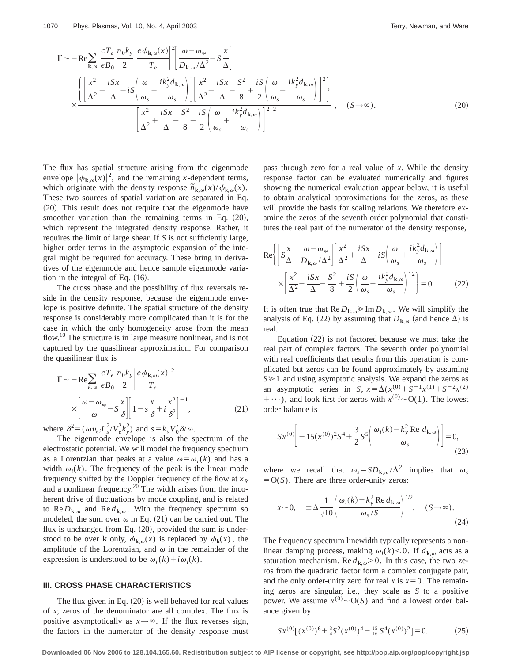$$
\Gamma \sim -\operatorname{Re}\sum_{\mathbf{k},\omega} \frac{c T_e}{e B_0} \frac{n_0 k_y}{2} \left| \frac{e \phi_{\mathbf{k},\omega}(x)}{T_e} \right|^2 \left[ \frac{\omega - \omega_*}{D_{\mathbf{k},\omega}/\Delta^2} - S \frac{x}{\Delta} \right]
$$

$$
\times \frac{\left\{ \left[ \frac{x^2}{\Delta^2} + \frac{i S x}{\Delta} - i S \left( \frac{\omega}{\omega_s} + \frac{i k_y^2 d_{\mathbf{k},\omega}}{\omega_s} \right) \right] \left[ \frac{x^2}{\Delta^2} - \frac{i S x}{\Delta} - \frac{S^2}{8} + \frac{i S}{2} \left( \frac{\omega}{\omega_s} - \frac{i k_y^2 d_{\mathbf{k},\omega}}{\omega_s} \right) \right]^2 \right\}}{\left\| \frac{x^2}{\Delta^2} + \frac{i S x}{\Delta} - \frac{S^2}{8} - \frac{i S}{2} \left( \frac{\omega}{\omega_s} + \frac{i k_y^2 d_{\mathbf{k},\omega}}{\omega_s} \right)^2 \right\|^2}, \quad (S \to \infty).
$$
(20)

The flux has spatial structure arising from the eigenmode envelope  $|\phi_{\mathbf{k},\omega}(x)|^2$ , and the remaining *x*-dependent terms, which originate with the density response  $\tilde{n}_{\mathbf{k},\omega}(x)/\phi_{\mathbf{k},\omega}(x)$ . These two sources of spatial variation are separated in Eq.  $(20)$ . This result does not require that the eigenmode have smoother variation than the remaining terms in Eq.  $(20)$ , which represent the integrated density response. Rather, it requires the limit of large shear. If *S* is not sufficiently large, higher order terms in the asymptotic expansion of the integral might be required for accuracy. These bring in derivatives of the eigenmode and hence sample eigenmode variation in the integral of Eq.  $(16)$ .

The cross phase and the possibility of flux reversals reside in the density response, because the eigenmode envelope is positive definite. The spatial structure of the density response is considerably more complicated than it is for the case in which the only homogeneity arose from the mean flow.<sup>10</sup> The structure is in large measure nonlinear, and is not captured by the quasilinear approximation. For comparison the quasilinear flux is

$$
\Gamma \sim -\operatorname{Re} \sum_{k,\omega} \frac{c T_e}{e B_0} \frac{n_0 k_y}{2} \left| \frac{e \phi_{\mathbf{k},\omega}(x)}{T_e} \right|^2
$$

$$
\times \left[ \frac{\omega - \omega_*}{\omega} - S \frac{x}{\delta} \right] \left[ 1 - s \frac{x}{\delta} + i \frac{x^2}{\delta^2} \right]^{-1}, \tag{21}
$$

where  $\delta^2 = (\omega v_{ei} L_s^2 / V_e^2 k_y^2)$  and  $s = k_y V_0' \delta / \omega$ .

The eigenmode envelope is also the spectrum of the electrostatic potential. We will model the frequency spectrum as a Lorentzian that peaks at a value  $\omega = \omega_r(k)$  and has a width  $\omega_i(k)$ . The frequency of the peak is the linear mode frequency shifted by the Doppler frequency of the flow at  $x_R$ and a nonlinear frequency. $20$  The width arises from the incoherent drive of fluctuations by mode coupling, and is related to Re  $D_{\mathbf{k},\omega}$  and Re  $d_{\mathbf{k},\omega}$ . With the frequency spectrum so modeled, the sum over  $\omega$  in Eq. (21) can be carried out. The flux is unchanged from Eq.  $(20)$ , provided the sum is understood to be over **k** only,  $\phi_{\mathbf{k},\omega}(x)$  is replaced by  $\phi_{\mathbf{k}}(x)$ , the amplitude of the Lorentzian, and  $\omega$  in the remainder of the expression is understood to be  $\omega_r(k) + i \omega_i(k)$ .

#### **III. CROSS PHASE CHARACTERISTICS**

The flux given in Eq.  $(20)$  is well behaved for real values of *x*; zeros of the denominator are all complex. The flux is positive asymptotically as  $x \rightarrow \infty$ . If the flux reverses sign, the factors in the numerator of the density response must pass through zero for a real value of *x*. While the density response factor can be evaluated numerically and figures showing the numerical evaluation appear below, it is useful to obtain analytical approximations for the zeros, as these will provide the basis for scaling relations. We therefore examine the zeros of the seventh order polynomial that constitutes the real part of the numerator of the density response,

$$
\text{Re}\left\{\left[S\frac{x}{\Delta} - \frac{\omega - \omega_{*}}{D_{\mathbf{k},\omega}/\Delta^{2}}\right] \left[\frac{x^{2}}{\Delta^{2}} + \frac{iSx}{\Delta} - iS\left(\frac{\omega}{\omega_{s}} + \frac{ik_{y}^{2}d_{\mathbf{k},\omega}}{\omega_{s}}\right)\right] \times \left[\frac{x^{2}}{\Delta^{2}} - \frac{iSx}{\Delta} - \frac{S^{2}}{8} + \frac{iS}{2}\left(\frac{\omega}{\omega_{s}} - \frac{ik_{y}^{2}d_{\mathbf{k},\omega}}{\omega_{s}}\right)\right]^{2}\right\} = 0. \tag{22}
$$

It is often true that  $\text{Re } D_{\mathbf{k},\omega} \gg \text{Im } D_{\mathbf{k},\omega}$ . We will simplify the analysis of Eq. (22) by assuming that  $D_{\mathbf{k},\omega}$  (and hence  $\Delta$ ) is real.

Equation  $(22)$  is not factored because we must take the real part of complex factors. The seventh order polynomial with real coefficients that results from this operation is complicated but zeros can be found approximately by assuming *S* $\ge$  1 and using asymptotic analysis. We expand the zeros as an asymptotic series in *S*,  $x = \Delta(x^{(0)} + S^{-1}x^{(1)} + S^{-2}x^{(2)}$  $+\cdots$ ), and look first for zeros with  $x^{(0)} \sim O(1)$ . The lowest order balance is

$$
Sx^{(0)} \bigg[ -15(x^{(0)})^2 S^4 + \frac{3}{2} S^5 \bigg( \frac{\omega_i(k) - k_y^2 \operatorname{Re} d_{\mathbf{k},\omega}}{\omega_s} \bigg) \bigg] = 0,
$$
\n(23)

where we recall that  $\omega_s = SD_{\mathbf{k},\omega}/\Delta^2$  implies that  $\omega_s$  $=O(S)$ . There are three order-unity zeros:

$$
x \sim 0, \quad \pm \Delta \frac{1}{\sqrt{10}} \left( \frac{\omega_i(k) - k_y^2 \operatorname{Re} d_{\mathbf{k},\omega}}{\omega_s / S} \right)^{1/2}, \quad (S \to \infty).
$$
\n(24)

The frequency spectrum linewidth typically represents a nonlinear damping process, making  $\omega_i(k)$  < 0. If  $d_{\mathbf{k},\omega}$  acts as a saturation mechanism. Re  $d_{\mathbf{k},\omega}$ >0. In this case, the two zeros from the quadratic factor form a complex conjugate pair, and the only order-unity zero for real *x* is  $x=0$ . The remaining zeros are singular, i.e., they scale as *S* to a positive power. We assume  $x^{(0)} \sim O(S)$  and find a lowest order balance given by

$$
Sx^{(0)}[(x^{(0)})^6 + \frac{3}{4}S^2(x^{(0)})^4 - \frac{15}{16}S^4(x^{(0)})^2] = 0.
$$
 (25)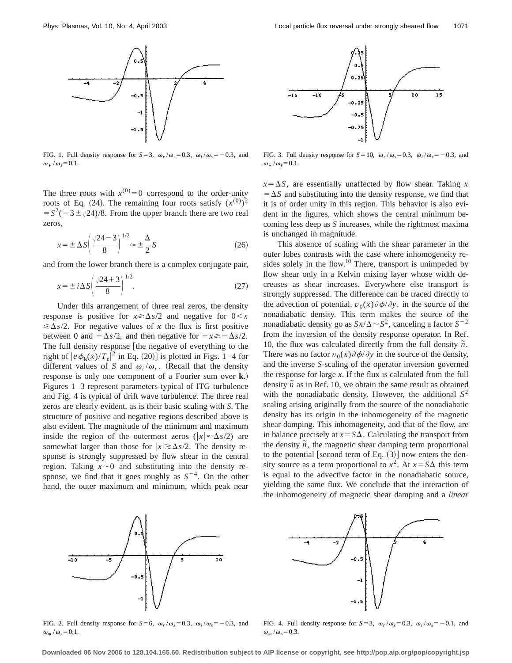

FIG. 1. Full density response for  $S=3$ ,  $\omega_r/\omega_s=0.3$ ,  $\omega_i/\omega_s=-0.3$ , and  $\omega_* / \omega_s = 0.1$ .

The three roots with  $x^{(0)}=0$  correspond to the order-unity roots of Eq. (24). The remaining four roots satisfy  $(x^{(0)})^2$  $= S<sup>2</sup>(-3 \pm \sqrt{24})/8$ . From the upper branch there are two real zeros,

$$
x = \pm \Delta S \left(\frac{\sqrt{24 - 3}}{8}\right)^{1/2} \approx \pm \frac{\Delta}{2} S \tag{26}
$$

and from the lower branch there is a complex conjugate pair,

$$
x = \pm i\Delta S \left(\frac{\sqrt{24+3}}{8}\right)^{1/2}.\tag{27}
$$

Under this arrangement of three real zeros, the density response is positive for  $x \ge \Delta s/2$  and negative for  $0 \le x$  $\leq \Delta s/2$ . For negative values of *x* the flux is first positive between 0 and  $-\Delta s/2$ , and then negative for  $-x \ge -\Delta s/2$ . The full density response [the negative of everything to the right of  $|e\phi_{\bf k}(x)/T_e|^2$  in Eq. (20)] is plotted in Figs. 1–4 for different values of *S* and  $\omega_i/\omega_r$ . (Recall that the density response is only one component of a Fourier sum over **k**.! Figures 1–3 represent parameters typical of ITG turbulence and Fig. 4 is typical of drift wave turbulence. The three real zeros are clearly evident, as is their basic scaling with *S*. The structure of positive and negative regions described above is also evident. The magnitude of the minimum and maximum inside the region of the outermost zeros ( $|x| \approx \Delta s/2$ ) are somewhat larger than those for  $|x| \ge \Delta s/2$ . The density response is strongly suppressed by flow shear in the central region. Taking  $x \sim 0$  and substituting into the density response, we find that it goes roughly as  $S^{-4}$ . On the other hand, the outer maximum and minimum, which peak near



FIG. 3. Full density response for  $S=10$ ,  $\omega_r/\omega_s=0.3$ ,  $\omega_i/\omega_s=-0.3$ , and  $\omega_* / \omega_s = 0.1$ .

 $x = \Delta S$ , are essentially unaffected by flow shear. Taking *x*  $=$   $\Delta S$  and substituting into the density response, we find that it is of order unity in this region. This behavior is also evident in the figures, which shows the central minimum becoming less deep as *S* increases, while the rightmost maxima is unchanged in magnitude.

This absence of scaling with the shear parameter in the outer lobes contrasts with the case where inhomogeneity resides solely in the flow. $10$  There, transport is unimpeded by flow shear only in a Kelvin mixing layer whose width decreases as shear increases. Everywhere else transport is strongly suppressed. The difference can be traced directly to the advection of potential,  $v_0(x) \partial \phi / \partial y$ , in the source of the nonadiabatic density. This term makes the source of the nonadiabatic density go as  $Sx/\Delta \sim S^2$ , canceling a factor  $S^{-2}$ from the inversion of the density response operator. In Ref. 10, the flux was calculated directly from the full density  $\tilde{n}$ . There was no factor  $v_0(x) \partial \phi / \partial y$  in the source of the density, and the inverse *S*-scaling of the operator inversion governed the response for large *x*. If the flux is calculated from the full density  $\tilde{n}$  as in Ref. 10, we obtain the same result as obtained with the nonadiabatic density. However, the additional  $S<sup>2</sup>$ scaling arising originally from the source of the nonadiabatic density has its origin in the inhomogeneity of the magnetic shear damping. This inhomogeneity, and that of the flow, are in balance precisely at  $x = S\Delta$ . Calculating the transport from the density  $\tilde{n}$ , the magnetic shear damping term proportional to the potential [second term of Eq.  $(3)$ ] now enters the density source as a term proportional to  $x^2$ . At  $x = S\Delta$  this term is equal to the advective factor in the nonadiabatic source, yielding the same flux. We conclude that the interaction of the inhomogeneity of magnetic shear damping and a *linear*



FIG. 2. Full density response for  $S=6$ ,  $\omega_r/\omega_s=0.3$ ,  $\omega_i/\omega_s=-0.3$ , and  $\omega_* / \omega_s = 0.1$ .



FIG. 4. Full density response for  $S=3$ ,  $\omega_r/\omega_s=0.3$ ,  $\omega_i/\omega_s=-0.1$ , and  $\omega_* / \omega_s = 0.3$ .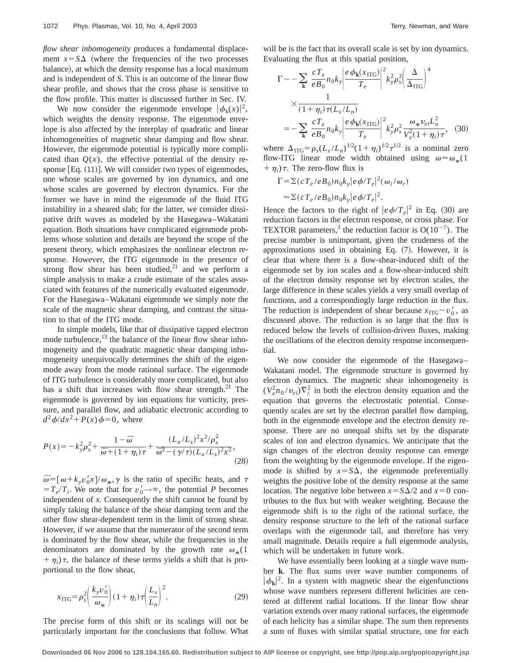*flow shear inhomogeneity* produces a fundamental displacement  $x = S\Delta$  (where the frequencies of the two processes balance), at which the density response has a local maximum and is independent of *S*. This is an outcome of the linear flow shear profile, and shows that the cross phase is sensitive to the flow profile. This matter is discussed further in Sec. IV.

We now consider the eigenmode envelope  $|\phi_k(x)|^2$ , which weights the density response. The eigenmode envelope is also affected by the interplay of quadratic and linear inhomogeneities of magnetic shear damping and flow shear. However, the eigenmode potential is typically more complicated than  $Q(x)$ , the effective potential of the density response  $[Eq. (11)]$ . We will consider two types of eigenmodes, one whose scales are governed by ion dynamics, and one whose scales are governed by electron dynamics. For the former we have in mind the eigenmode of the fluid ITG instability in a sheared slab; for the latter, we consider dissipative drift waves as modeled by the Hasegawa–Wakatani equation. Both situations have complicated eigenmode problems whose solution and details are beyond the scope of the present theory, which emphasizes the nonlinear electron response. However, the ITG eigenmode in the presence of strong flow shear has been studied, $21$  and we perform a simple analysis to make a crude estimate of the scales associated with features of the numerically evaluated eigenmode. For the Hasegawa–Wakatani eigenmode we simply note the scale of the magnetic shear damping, and contrast the situation to that of the ITG mode.

In simple models, like that of dissipative tapped electron mode turbulence, $^{13}$  the balance of the linear flow shear inhomogeneity and the quadratic magnetic shear damping inhomogeneity unequivocally determines the shift of the eigenmode away from the mode rational surface. The eigenmode of ITG turbulence is considerably more complicated, but also has a shift that increases with flow shear strength. $21$  The eigenmode is governed by ion equations for vorticity, pressure, and parallel flow, and adiabatic electronic according to  $d^2\phi/dx^2 + P(x)\phi = 0$ , where

$$
P(x) = -k_y^2 \rho_s^2 + \frac{1 - \bar{\omega}}{\bar{\omega} + (1 + \eta_i)\tau} + \frac{(L_n/L_s)^2 x^2 / \rho_s^2}{\bar{\omega}^2 - (\gamma/\tau)(L_n/L_s)^2 x^2},
$$
\n(28)

 $\overline{\omega} = [\omega + k_y v'_0 x]/\omega_*$ ,  $\gamma$  is the ratio of specific heats, and  $\tau$  $T_e/T_i$ . We note that for  $v'_0 \rightarrow \infty$ , the potential *P* becomes independent of *x*. Consequently the shift cannot be found by simply taking the balance of the shear damping term and the other flow shear-dependent term in the limit of strong shear. However, if we assume that the numerator of the second term is dominated by the flow shear, while the frequencies in the denominators are dominated by the growth rate  $\omega_*$ (1  $+\eta_i\tau$ , the balance of these terms yields a shift that is proportional to the flow shear,

$$
x_{\text{ITG}} = \rho_s^2 \left( \frac{k_y v_0'}{\omega_*} \right) (1 + \eta_i) \tau \left( \frac{L_s}{L_n} \right)^2.
$$
 (29)

The precise form of this shift or its scalings will not be particularly important for the conclusions that follow. What will be is the fact that its overall scale is set by ion dynamics. Evaluating the flux at this spatial position,

$$
\Gamma \sim -\sum_{\mathbf{k}} \frac{cT_e}{eB_0} n_0 k_y \left| \frac{e \phi_{\mathbf{k}}(x_{\text{ITG}})}{T_e} \right|^2 k_y^2 \rho_s^2 \left( \frac{\Delta}{\Delta_{\text{ITG}}} \right)^4
$$

$$
\times \frac{1}{(1 + \eta_i) \tau (L_s / L_n)}
$$

$$
= -\sum_{\mathbf{k}} \frac{cT_e}{eB_0} n_0 k_y \left| \frac{e \phi_{\mathbf{k}}(x_{\text{ITG}})}{T_e} \right|^2 k_y^2 \rho_s^2 \frac{\omega_* v_{ei} L_n^2}{V_e^2 (1 + \eta_i) \tau}, \quad (30)
$$

where  $\Delta_{\text{ITG}} = \rho_s (L_s / L_n)^{1/2} (1 + \eta_i)^{1/2} \tau^{1/2}$  is a nominal zero flow-ITG linear mode width obtained using  $\omega \approx \omega_*$ (1  $+\eta_i\tau$ . The zero-flow flux is

$$
\Gamma = \sum (cT_e/eB_0)n_0k_y|e\phi/T_e|^2(\omega_i/\omega_r)
$$
  

$$
\approx \sum (cT_e/eB_0)n_0k_y|e\phi/T_e|^2.
$$

Hence the factors to the right of  $|e\phi/T_e|^2$  in Eq. (30) are reduction factors in the electron response, or cross phase. For TEXTOR parameters,<sup>3</sup> the reduction factor is  $O(10^{-7})$ . The precise number is unimportant, given the crudeness of the approximations used in obtaining Eq.  $(7)$ . However, it is clear that where there is a flow-shear-induced shift of the eigenmode set by ion scales and a flow-shear-induced shift of the electron density response set by electron scales, the large difference in these scales yields a very small overlap of functions, and a correspondingly large reduction in the flux. The reduction is independent of shear because  $x_{\text{ITG}} \sim v_0'$ , as discussed above. The reduction is so large that the flux is reduced below the levels of collision-driven fluxes, making the oscillations of the electron density response inconsequential.

We now consider the eigenmode of the Hasegawa– Wakatani model. The eigenmode structure is governed by electron dynamics. The magnetic shear inhomogeneity is  $(V_e^2 n_0 / v_{ei}) \nabla_{\parallel}^2$  in both the electron density equation and the equation that governs the electrostatic potential. Consequently scales are set by the electron parallel flow damping, both in the eigenmode envelope and the electron density response. There are no unequal shifts set by the disparate scales of ion and electron dynamics. We anticipate that the sign changes of the electron density response can emerge from the weighting by the eigenmode envelope. If the eigenmode is shifted by  $x = S\Delta$ , the eigenmode preferentially weights the positive lobe of the density response at the same location. The negative lobe between  $x = S\Delta/2$  and  $x = 0$  contributes to the flux but with weaker weighting. Because the eigenmode shift is to the right of the rational surface, the density response structure to the left of the rational surface overlaps with the eigenmode tail, and therefore has very small magnitude. Details require a full eigenmode analysis, which will be undertaken in future work.

We have essentially been looking at a single wave number **k**. The flux sums over wave number components of  $|\phi_{\bf k}|^2$ . In a system with magnetic shear the eigenfunctions whose wave numbers represent different helicities are centered at different radial locations. If the linear flow shear variation extends over many rational surfaces, the eigenmode of each helicity has a similar shape. The sum then represents a sum of fluxes with similar spatial structure, one for each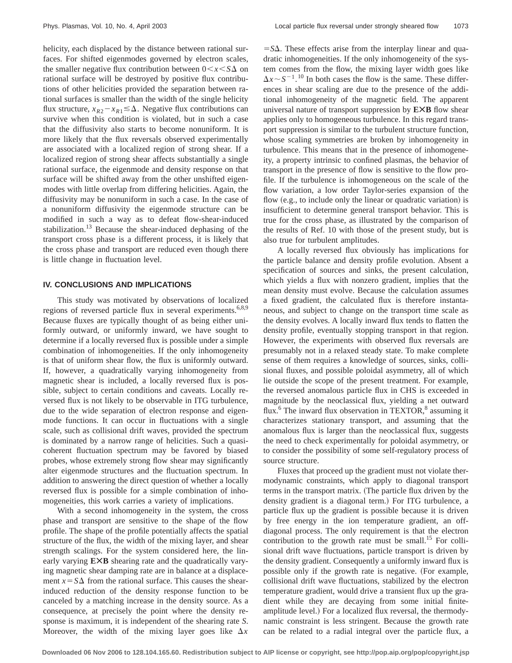helicity, each displaced by the distance between rational surfaces. For shifted eigenmodes governed by electron scales, the smaller negative flux contribution between  $0 \lt x \lt S\Delta$  on rational surface will be destroyed by positive flux contributions of other helicities provided the separation between rational surfaces is smaller than the width of the single helicity flux structure,  $x_{R2} - x_{R1} \leq \Delta$ . Negative flux contributions can survive when this condition is violated, but in such a case that the diffusivity also starts to become nonuniform. It is more likely that the flux reversals observed experimentally are associated with a localized region of strong shear. If a localized region of strong shear affects substantially a single rational surface, the eigenmode and density response on that surface will be shifted away from the other unshifted eigenmodes with little overlap from differing helicities. Again, the diffusivity may be nonuniform in such a case. In the case of a nonuniform diffusivity the eigenmode structure can be modified in such a way as to defeat flow-shear-induced stabilization.<sup>13</sup> Because the shear-induced dephasing of the transport cross phase is a different process, it is likely that the cross phase and transport are reduced even though there is little change in fluctuation level.

#### **IV. CONCLUSIONS AND IMPLICATIONS**

This study was motivated by observations of localized regions of reversed particle flux in several experiments.<sup>6,8,9</sup> Because fluxes are typically thought of as being either uniformly outward, or uniformly inward, we have sought to determine if a locally reversed flux is possible under a simple combination of inhomogeneities. If the only inhomogeneity is that of uniform shear flow, the flux is uniformly outward. If, however, a quadratically varying inhomogeneity from magnetic shear is included, a locally reversed flux is possible, subject to certain conditions and caveats. Locally reversed flux is not likely to be observable in ITG turbulence, due to the wide separation of electron response and eigenmode functions. It can occur in fluctuations with a single scale, such as collisional drift waves, provided the spectrum is dominated by a narrow range of helicities. Such a quasicoherent fluctuation spectrum may be favored by biased probes, whose extremely strong flow shear may significantly alter eigenmode structures and the fluctuation spectrum. In addition to answering the direct question of whether a locally reversed flux is possible for a simple combination of inhomogeneities, this work carries a variety of implications.

With a second inhomogeneity in the system, the cross phase and transport are sensitive to the shape of the flow profile. The shape of the profile potentially affects the spatial structure of the flux, the width of the mixing layer, and shear strength scalings. For the system considered here, the linearly varying **EÃB** shearing rate and the quadratically varying magnetic shear damping rate are in balance at a displacement  $x = S\Delta$  from the rational surface. This causes the shearinduced reduction of the density response function to be canceled by a matching increase in the density source. As a consequence, at precisely the point where the density response is maximum, it is independent of the shearing rate *S*. Moreover, the width of the mixing layer goes like  $\Delta x$   $= S\Delta$ . These effects arise from the interplay linear and quadratic inhomogeneities. If the only inhomogeneity of the system comes from the flow, the mixing layer width goes like  $\Delta x \sim S^{-1}$ .<sup>10</sup> In both cases the flow is the same. These differences in shear scaling are due to the presence of the additional inhomogeneity of the magnetic field. The apparent universal nature of transport suppression by **EÃB** flow shear applies only to homogeneous turbulence. In this regard transport suppression is similar to the turbulent structure function, whose scaling symmetries are broken by inhomogeneity in turbulence. This means that in the presence of inhomogeneity, a property intrinsic to confined plasmas, the behavior of transport in the presence of flow is sensitive to the flow profile. If the turbulence is inhomogeneous on the scale of the flow variation, a low order Taylor-series expansion of the flow  $(e.g., to include only the linear or quadratic variation)$  is insufficient to determine general transport behavior. This is true for the cross phase, as illustrated by the comparison of the results of Ref. 10 with those of the present study, but is also true for turbulent amplitudes.

A locally reversed flux obviously has implications for the particle balance and density profile evolution. Absent a specification of sources and sinks, the present calculation, which yields a flux with nonzero gradient, implies that the mean density must evolve. Because the calculation assumes a fixed gradient, the calculated flux is therefore instantaneous, and subject to change on the transport time scale as the density evolves. A locally inward flux tends to flatten the density profile, eventually stopping transport in that region. However, the experiments with observed flux reversals are presumably not in a relaxed steady state. To make complete sense of them requires a knowledge of sources, sinks, collisional fluxes, and possible poloidal asymmetry, all of which lie outside the scope of the present treatment. For example, the reversed anomalous particle flux in CHS is exceeded in magnitude by the neoclassical flux, yielding a net outward flux.<sup>6</sup> The inward flux observation in TEXTOR,<sup>8</sup> assuming it characterizes stationary transport, and assuming that the anomalous flux is larger than the neoclassical flux, suggests the need to check experimentally for poloidal asymmetry, or to consider the possibility of some self-regulatory process of source structure.

Fluxes that proceed up the gradient must not violate thermodynamic constraints, which apply to diagonal transport terms in the transport matrix. (The particle flux driven by the density gradient is a diagonal term.) For ITG turbulence, a particle flux up the gradient is possible because it is driven by free energy in the ion temperature gradient, an offdiagonal process. The only requirement is that the electron contribution to the growth rate must be small.<sup>15</sup> For collisional drift wave fluctuations, particle transport is driven by the density gradient. Consequently a uniformly inward flux is possible only if the growth rate is negative. (For example, collisional drift wave fluctuations, stabilized by the electron temperature gradient, would drive a transient flux up the gradient while they are decaying from some initial finiteamplitude level.) For a localized flux reversal, the thermodynamic constraint is less stringent. Because the growth rate can be related to a radial integral over the particle flux, a